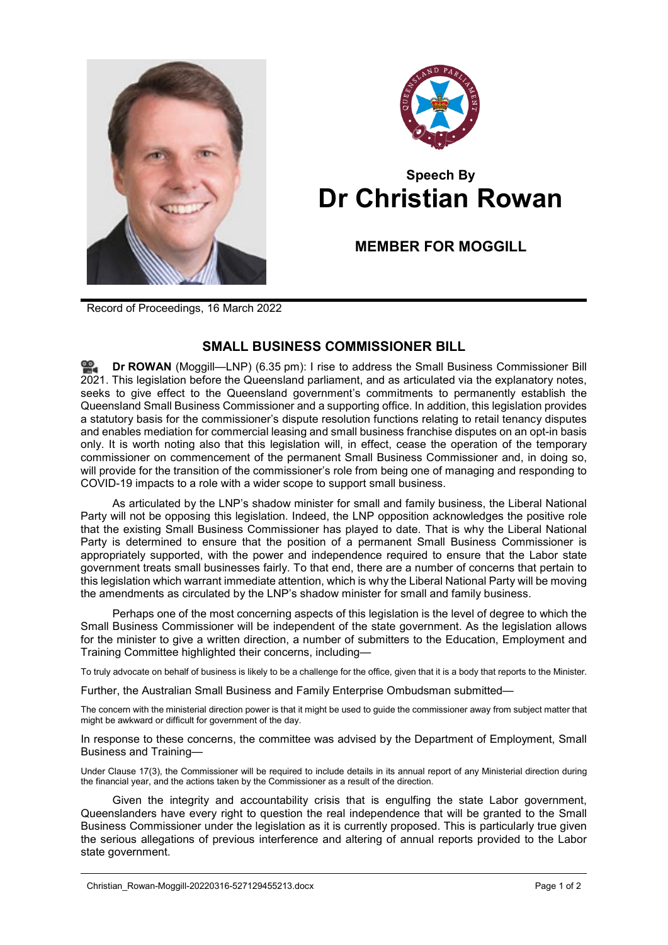



## **Speech By Dr Christian Rowan**

## **MEMBER FOR MOGGILL**

Record of Proceedings, 16 March 2022

## **SMALL BUSINESS COMMISSIONER BILL**

**Dr [ROWAN](http://www.parliament.qld.gov.au/docs/find.aspx?id=0Mba20220316_183615)** (Moggill—LNP) (6.35 pm): I rise to address the Small Business Commissioner Bill 2021. This legislation before the Queensland parliament, and as articulated via the explanatory notes, seeks to give effect to the Queensland government's commitments to permanently establish the Queensland Small Business Commissioner and a supporting office. In addition, this legislation provides a statutory basis for the commissioner's dispute resolution functions relating to retail tenancy disputes and enables mediation for commercial leasing and small business franchise disputes on an opt-in basis only. It is worth noting also that this legislation will, in effect, cease the operation of the temporary commissioner on commencement of the permanent Small Business Commissioner and, in doing so, will provide for the transition of the commissioner's role from being one of managing and responding to COVID-19 impacts to a role with a wider scope to support small business.

As articulated by the LNP's shadow minister for small and family business, the Liberal National Party will not be opposing this legislation. Indeed, the LNP opposition acknowledges the positive role that the existing Small Business Commissioner has played to date. That is why the Liberal National Party is determined to ensure that the position of a permanent Small Business Commissioner is appropriately supported, with the power and independence required to ensure that the Labor state government treats small businesses fairly. To that end, there are a number of concerns that pertain to this legislation which warrant immediate attention, which is why the Liberal National Party will be moving the amendments as circulated by the LNP's shadow minister for small and family business.

Perhaps one of the most concerning aspects of this legislation is the level of degree to which the Small Business Commissioner will be independent of the state government. As the legislation allows for the minister to give a written direction, a number of submitters to the Education, Employment and Training Committee highlighted their concerns, including—

To truly advocate on behalf of business is likely to be a challenge for the office, given that it is a body that reports to the Minister.

Further, the Australian Small Business and Family Enterprise Ombudsman submitted—

The concern with the ministerial direction power is that it might be used to guide the commissioner away from subject matter that might be awkward or difficult for government of the day.

In response to these concerns, the committee was advised by the Department of Employment, Small Business and Training—

Under Clause 17(3), the Commissioner will be required to include details in its annual report of any Ministerial direction during the financial year, and the actions taken by the Commissioner as a result of the direction.

Given the integrity and accountability crisis that is engulfing the state Labor government, Queenslanders have every right to question the real independence that will be granted to the Small Business Commissioner under the legislation as it is currently proposed. This is particularly true given the serious allegations of previous interference and altering of annual reports provided to the Labor state government.